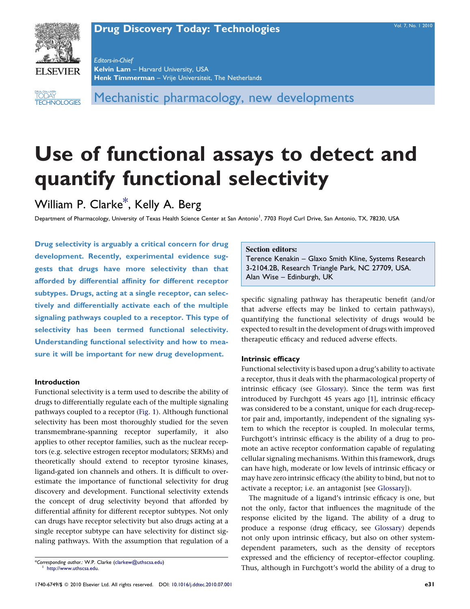### **[Drug Discovery Today: Technologies](http://dx.doi.org/10.1016/j.ddtec.2010.07.001)** [Vol. 7, No. 1 2010](http://dx.doi.org/10.1016/j.ddtec.2010.07.001)



Editors-in-Chief Kelvin Lam - Harvard University, USA Henk Timmerman - Vrije Universiteit, The Netherlands

TECHNOLOGIES **DRUG DISCOVERY** TODAY

Mechanistic pharmacology, new developments

# Use of functional assays to detect and quantify functional selectivity

## William P. Clarke\*, Kelly A. Berg

Department of Pharmacology, University of Texas Health Science Center at San Antonio<sup>1</sup>, 7703 Floyd Curl Drive, San Antonio, TX, 78230, USA

Drug selectivity is arguably a critical concern for drug development. Recently, experimental evidence suggests that drugs have more selectivity than that afforded by differential affinity for different receptor subtypes. Drugs, acting at a single receptor, can selectively and differentially activate each of the multiple signaling pathways coupled to a receptor. This type of selectivity has been termed functional selectivity. Understanding functional selectivity and how to measure it will be important for new drug development.

#### Introduction

Functional selectivity is a term used to describe the ability of drugs to differentially regulate each of the multiple signaling pathways coupled to a receptor [\(Fig. 1\)](#page-1-0). Although functional selectivity has been most thoroughly studied for the seven transmembrane-spanning receptor superfamily, it also applies to other receptor families, such as the nuclear receptors (e.g. selective estrogen receptor modulators; SERMs) and theoretically should extend to receptor tyrosine kinases, ligand-gated ion channels and others. It is difficult to overestimate the importance of functional selectivity for drug discovery and development. Functional selectivity extends the concept of drug selectivity beyond that afforded by differential affinity for different receptor subtypes. Not only can drugs have receptor selectivity but also drugs acting at a single receptor subtype can have selectivity for distinct signaling pathways. With the assumption that regulation of a

#### Section editors:

Terence Kenakin – Glaxo Smith Kline, Systems Research 3-2104.2B, Research Triangle Park, NC 27709, USA. Alan Wise – Edinburgh, UK

specific signaling pathway has therapeutic benefit (and/or that adverse effects may be linked to certain pathways), quantifying the functional selectivity of drugs would be expected to result in the development of drugs with improved therapeutic efficacy and reduced adverse effects.

#### Intrinsic efficacy

Functional selectivity is based upon a drug's ability to activate a receptor, thus it deals with the pharmacological property of intrinsic efficacy (see Glossary). Since the term was first introduced by Furchgott 45 years ago [\[1\]](#page-4-0), intrinsic efficacy was considered to be a constant, unique for each drug-receptor pair and, importantly, independent of the signaling system to which the receptor is coupled. In molecular terms, Furchgott's intrinsic efficacy is the ability of a drug to promote an active receptor conformation capable of regulating cellular signaling mechanisms. Within this framework, drugs can have high, moderate or low levels of intrinsic efficacy or may have zero intrinsic efficacy (the ability to bind, but not to activate a receptor; i.e. an antagonist [see Glossary]).

The magnitude of a ligand's intrinsic efficacy is one, but not the only, factor that influences the magnitude of the response elicited by the ligand. The ability of a drug to produce a response (drug efficacy, see Glossary) depends not only upon intrinsic efficacy, but also on other systemdependent parameters, such as the density of receptors expressed and the efficiency of receptor–effector coupling. Thus, although in Furchgott's world the ability of a drug to

<sup>\*</sup>Corresponding author.: W.P. Clarke ([clarkew@uthscsa.edu\)](mailto:clarkew@uthscsa.edu) <sup>1</sup> [http://www.uthscsa.edu.](http://www.uthscsa.edu/)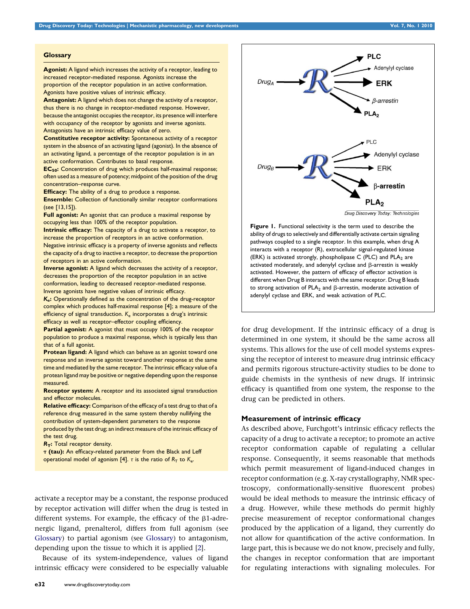#### <span id="page-1-0"></span>**Glossary**

Agonist: A ligand which increases the activity of a receptor, leading to increased receptor-mediated response. Agonists increase the proportion of the receptor population in an active conformation. Agonists have positive values of intrinsic efficacy.

Antagonist: A ligand which does not change the activity of a receptor, thus there is no change in receptor-mediated response. However, because the antagonist occupies the receptor, its presence will interfere with occupancy of the receptor by agonists and inverse agonists. Antagonists have an intrinsic efficacy value of zero.

Constitutive receptor activity: Spontaneous activity of a receptor system in the absence of an activating ligand (agonist). In the absence of an activating ligand, a percentage of the receptor population is in an active conformation. Contributes to basal response.

EC<sub>50</sub>: Concentration of drug which produces half-maximal response; often used as a measure of potency; midpoint of the position of the drug concentration–response curve.

Efficacy: The ability of a drug to produce a response.

Ensemble: Collection of functionally similar receptor conformations (see [13,15]).

Full agonist: An agonist that can produce a maximal response by occupying less than 100% of the receptor population.

Intrinsic efficacy: The capacity of a drug to activate a receptor, to increase the proportion of receptors in an active conformation. Negative intrinsic efficacy is a property of inverse agonists and reflects the capacity of a drug to inactive a receptor, to decrease the proportion of receptors in an active conformation.

Inverse agonist: A ligand which decreases the activity of a receptor, decreases the proportion of the receptor population in an active conformation, leading to decreased receptor-mediated response. Inverse agonists have negative values of intrinsic efficacy.

K<sub>e</sub>: Operationally defined as the concentration of the drug-receptor complex which produces half-maximal response [4]; a measure of the efficiency of signal transduction.  $K_e$  incorporates a drug's intrinsic efficacy as well as receptor–effector coupling efficiency.

Partial agonist: A agonist that must occupy 100% of the receptor population to produce a maximal response, which is typically less than that of a full agonist.

Protean ligand: A ligand which can behave as an agonist toward one response and an inverse agonist toward another response at the same time and mediated by the same receptor. The intrinsic efficacy value of a protean ligand may be positive or negative depending upon the response measured.

Receptor system: A receptor and its associated signal transduction and effector molecules.

Relative efficacy: Comparison of the efficacy of a test drug to that of a reference drug measured in the same system thereby nullifying the contribution of system-dependent parameters to the response produced by the test drug; an indirect measure of the intrinsic efficacy of the test drug.

R<sub>T</sub>: Total receptor density.

 $\tau$  (tau): An efficacy-related parameter from the Black and Leff operational model of agonism [4].  $\tau$  is the ratio of  $R_T$  to  $K_{\rm e}$ .

activate a receptor may be a constant, the response produced by receptor activation will differ when the drug is tested in different systems. For example, the efficacy of the  $\beta$ 1-adrenergic ligand, prenalterol, differs from full agonism (see Glossary) to partial agonism (see Glossary) to antagonism, depending upon the tissue to which it is applied [\[2\]](#page-4-0).

Because of its system-independence, values of ligand intrinsic efficacy were considered to be especially valuable



Figure 1. Functional selectivity is the term used to describe the ability of drugs to selectively and differentially activate certain signaling pathways coupled to a single receptor. In this example, when drug A interacts with a receptor (R), extracellular signal-regulated kinase (ERK) is activated strongly, phospholipase C (PLC) and  $PLA_2$  are activated moderately, and adenylyl cyclase and  $\beta$ -arrestin is weakly activated. However, the pattern of efficacy of effector activation is different when Drug B interacts with the same receptor. Drug B leads to strong activation of  $PLA_2$  and  $\beta$ -arrestin, moderate activation of adenylyl cyclase and ERK, and weak activation of PLC.

for drug development. If the intrinsic efficacy of a drug is determined in one system, it should be the same across all systems. This allows for the use of cell model systems expressing the receptor of interest to measure drug intrinsic efficacy and permits rigorous structure-activity studies to be done to guide chemists in the synthesis of new drugs. If intrinsic efficacy is quantified from one system, the response to the drug can be predicted in others.

#### Measurement of intrinsic efficacy

As described above, Furchgott's intrinsic efficacy reflects the capacity of a drug to activate a receptor; to promote an active receptor conformation capable of regulating a cellular response. Consequently, it seems reasonable that methods which permit measurement of ligand-induced changes in receptor conformation (e.g. X-ray crystallography, NMR spectroscopy, conformationally-sensitive fluorescent probes) would be ideal methods to measure the intrinsic efficacy of a drug. However, while these methods do permit highly precise measurement of receptor conformational changes produced by the application of a ligand, they currently do not allow for quantification of the active conformation. In large part, this is because we do not know, precisely and fully, the changes in receptor conformation that are important for regulating interactions with signaling molecules. For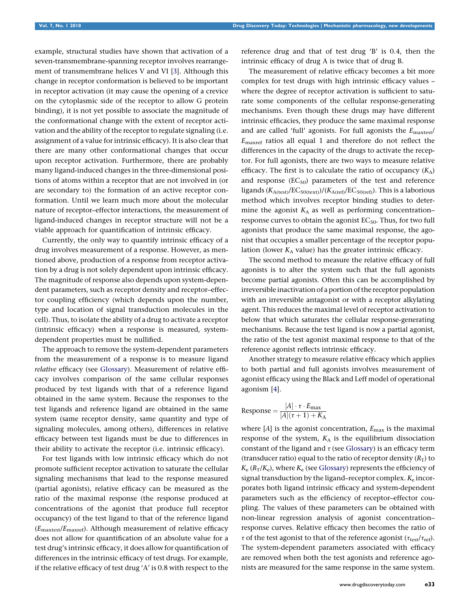example, structural studies have shown that activation of a seven-transmembrane-spanning receptor involves rearrangement of transmembrane helices V and VI [[3\]](#page-4-0). Although this change in receptor conformation is believed to be important in receptor activation (it may cause the opening of a crevice on the cytoplasmic side of the receptor to allow G protein binding), it is not yet possible to associate the magnitude of the conformational change with the extent of receptor activation and the ability of the receptor to regulate signaling (i.e. assignment of a value for intrinsic efficacy). It is also clear that there are many other conformational changes that occur upon receptor activation. Furthermore, there are probably many ligand-induced changes in the three-dimensional positions of atoms within a receptor that are not involved in (or are secondary to) the formation of an active receptor conformation. Until we learn much more about the molecular nature of receptor–effector interactions, the measurement of ligand-induced changes in receptor structure will not be a viable approach for quantification of intrinsic efficacy.

Currently, the only way to quantify intrinsic efficacy of a drug involves measurement of a response. However, as mentioned above, production of a response from receptor activation by a drug is not solely dependent upon intrinsic efficacy. The magnitude of response also depends upon system-dependent parameters, such as receptor density and receptor–effector coupling efficiency (which depends upon the number, type and location of signal transduction molecules in the cell). Thus, to isolate the ability of a drug to activate a receptor (intrinsic efficacy) when a response is measured, systemdependent properties must be nullified.

The approach to remove the system-dependent parameters from the measurement of a response is to measure ligand relative efficacy (see Glossary). Measurement of relative efficacy involves comparison of the same cellular responses produced by test ligands with that of a reference ligand obtained in the same system. Because the responses to the test ligands and reference ligand are obtained in the same system (same receptor density, same quantity and type of signaling molecules, among others), differences in relative efficacy between test ligands must be due to differences in their ability to activate the receptor (i.e. intrinsic efficacy).

For test ligands with low intrinsic efficacy which do not promote sufficient receptor activation to saturate the cellular signaling mechanisms that lead to the response measured (partial agonists), relative efficacy can be measured as the ratio of the maximal response (the response produced at concentrations of the agonist that produce full receptor occupancy) of the test ligand to that of the reference ligand  $(E_{\text{maxtest}}/E_{\text{maxref}})$ . Although measurement of relative efficacy does not allow for quantification of an absolute value for a test drug's intrinsic efficacy, it does allow for quantification of differences in the intrinsic efficacy of test drugs. For example, if the relative efficacy of test drug 'A' is 0.8 with respect to the

reference drug and that of test drug 'B' is 0.4, then the intrinsic efficacy of drug A is twice that of drug B.

The measurement of relative efficacy becomes a bit more complex for test drugs with high intrinsic efficacy values – where the degree of receptor activation is sufficient to saturate some components of the cellular response-generating mechanisms. Even though these drugs may have different intrinsic efficacies, they produce the same maximal response and are called 'full' agonists. For full agonists the  $E_{\text{maxtest}}/$  $E_{\text{maxref}}$  ratios all equal 1 and therefore do not reflect the differences in the capacity of the drugs to activate the receptor. For full agonists, there are two ways to measure relative efficacy. The first is to calculate the ratio of occupancy  $(K_A)$ and response  $(EC_{50})$  parameters of the test and reference ligands  $(K_{A(test)}/EC_{50(text)})/(K_{A(ref)}/EC_{50(ref)})$ . This is a laborious method which involves receptor binding studies to determine the agonist  $K_A$  as well as performing concentrationresponse curves to obtain the agonist  $EC_{50}$ . Thus, for two full agonists that produce the same maximal response, the agonist that occupies a smaller percentage of the receptor population (lower  $K_A$  value) has the greater intrinsic efficacy.

The second method to measure the relative efficacy of full agonists is to alter the system such that the full agonists become partial agonists. Often this can be accomplished by irreversible inactivation of a portion of the receptor population with an irreversible antagonist or with a receptor alkylating agent. This reduces the maximal level of receptor activation to below that which saturates the cellular response-generating mechanisms. Because the test ligand is now a partial agonist, the ratio of the test agonist maximal response to that of the reference agonist reflects intrinsic efficacy.

Another strategy to measure relative efficacy which applies to both partial and full agonists involves measurement of agonist efficacy using the Black and Leff model of operational agonism [\[4](#page-4-0)].

Response = 
$$
\frac{[A] \cdot \tau \cdot E_{\text{max}}}{[A](\tau + 1) + K_A}
$$

where  $[A]$  is the agonist concentration,  $E_{\text{max}}$  is the maximal response of the system,  $K_A$  is the equilibrium dissociation constant of the ligand and  $\tau$  (see Glossary) is an efficacy term (transducer ratio) equal to the ratio of receptor density  $(R_T)$  to  $K_e$  ( $R_T/K_e$ ), where  $K_e$  (see Glossary) represents the efficiency of signal transduction by the ligand–receptor complex.  $K_e$  incorporates both ligand intrinsic efficacy and system-dependent parameters such as the efficiency of receptor–effector coupling. The values of these parameters can be obtained with non-linear regression analysis of agonist concentration– response curves. Relative efficacy then becomes the ratio of  $\tau$  of the test agonist to that of the reference agonist ( $\tau_{\text{test}}/\tau_{\text{ref}}$ ). The system-dependent parameters associated with efficacy are removed when both the test agonists and reference agonists are measured for the same response in the same system.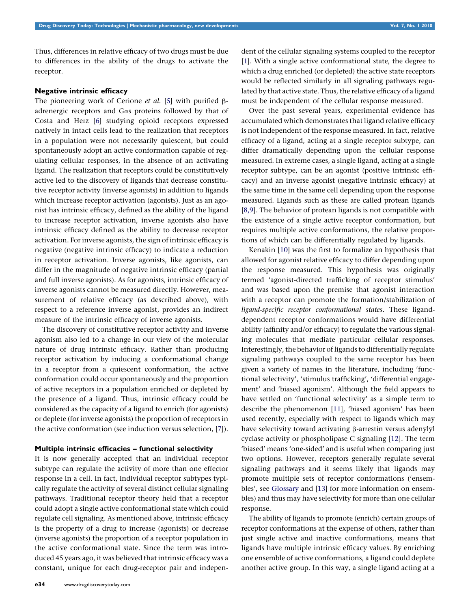Thus, differences in relative efficacy of two drugs must be due to differences in the ability of the drugs to activate the receptor.

#### Negative intrinsic efficacy

The pioneering work of Cerione *et al.* [\[5](#page-4-0)] with purified  $\beta$ adrenergic receptors and Gas proteins followed by that of Costa and Herz [[6\]](#page-5-0) studying opioid receptors expressed natively in intact cells lead to the realization that receptors in a population were not necessarily quiescent, but could spontaneously adopt an active conformation capable of regulating cellular responses, in the absence of an activating ligand. The realization that receptors could be constitutively active led to the discovery of ligands that decrease constitutive receptor activity (inverse agonists) in addition to ligands which increase receptor activation (agonists). Just as an agonist has intrinsic efficacy, defined as the ability of the ligand to increase receptor activation, inverse agonists also have intrinsic efficacy defined as the ability to decrease receptor activation. For inverse agonists, the sign of intrinsic efficacy is negative (negative intrinsic efficacy) to indicate a reduction in receptor activation. Inverse agonists, like agonists, can differ in the magnitude of negative intrinsic efficacy (partial and full inverse agonists). As for agonists, intrinsic efficacy of inverse agonists cannot be measured directly. However, measurement of relative efficacy (as described above), with respect to a reference inverse agonist, provides an indirect measure of the intrinsic efficacy of inverse agonists.

The discovery of constitutive receptor activity and inverse agonism also led to a change in our view of the molecular nature of drug intrinsic efficacy. Rather than producing receptor activation by inducing a conformational change in a receptor from a quiescent conformation, the active conformation could occur spontaneously and the proportion of active receptors in a population enriched or depleted by the presence of a ligand. Thus, intrinsic efficacy could be considered as the capacity of a ligand to enrich (for agonists) or deplete (for inverse agonists) the proportion of receptors in the active conformation (see induction versus selection, [[7\]](#page-5-0)).

#### Multiple intrinsic efficacies – functional selectivity

It is now generally accepted that an individual receptor subtype can regulate the activity of more than one effector response in a cell. In fact, individual receptor subtypes typically regulate the activity of several distinct cellular signaling pathways. Traditional receptor theory held that a receptor could adopt a single active conformational state which could regulate cell signaling. As mentioned above, intrinsic efficacy is the property of a drug to increase (agonists) or decrease (inverse agonists) the proportion of a receptor population in the active conformational state. Since the term was introduced 45 years ago, it was believed that intrinsic efficacy was a constant, unique for each drug-receptor pair and independent of the cellular signaling systems coupled to the receptor [[1\]](#page-4-0). With a single active conformational state, the degree to which a drug enriched (or depleted) the active state receptors would be reflected similarly in all signaling pathways regulated by that active state. Thus, the relative efficacy of a ligand must be independent of the cellular response measured.

Over the past several years, experimental evidence has accumulated which demonstrates that ligand relative efficacy is not independent of the response measured. In fact, relative efficacy of a ligand, acting at a single receptor subtype, can differ dramatically depending upon the cellular response measured. In extreme cases, a single ligand, acting at a single receptor subtype, can be an agonist (positive intrinsic efficacy) and an inverse agonist (negative intrinsic efficacy) at the same time in the same cell depending upon the response measured. Ligands such as these are called protean ligands [[8,9\]](#page-5-0). The behavior of protean ligands is not compatible with the existence of a single active receptor conformation, but requires multiple active conformations, the relative proportions of which can be differentially regulated by ligands.

Kenakin [[10](#page-5-0)] was the first to formalize an hypothesis that allowed for agonist relative efficacy to differ depending upon the response measured. This hypothesis was originally termed 'agonist-directed trafficking of receptor stimulus' and was based upon the premise that agonist interaction with a receptor can promote the formation/stabilization of ligand-specific receptor conformational states. These liganddependent receptor conformations would have differential ability (affinity and/or efficacy) to regulate the various signaling molecules that mediate particular cellular responses. Interestingly, the behavior of ligands to differentially regulate signaling pathways coupled to the same receptor has been given a variety of names in the literature, including 'functional selectivity', 'stimulus trafficking', 'differential engagement' and 'biased agonism'. Although the field appears to have settled on 'functional selectivity' as a simple term to describe the phenomenon [\[11](#page-5-0)], 'biased agonism' has been used recently, especially with respect to ligands which may have selectivity toward activating  $\beta$ -arrestin versus adenylyl cyclase activity or phospholipase C signaling [[12\]](#page-5-0). The term 'biased' means 'one-sided' and is useful when comparing just two options. However, receptors generally regulate several signaling pathways and it seems likely that ligands may promote multiple sets of receptor conformations ('ensembles', see Glossary and [\[13](#page-5-0)] for more information on ensembles) and thus may have selectivity for more than one cellular response.

The ability of ligands to promote (enrich) certain groups of receptor conformations at the expense of others, rather than just single active and inactive conformations, means that ligands have multiple intrinsic efficacy values. By enriching one ensemble of active conformations, a ligand could deplete another active group. In this way, a single ligand acting at a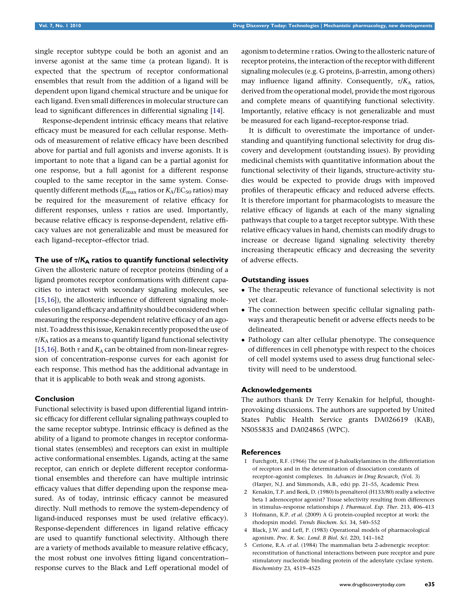<span id="page-4-0"></span>single receptor subtype could be both an agonist and an inverse agonist at the same time (a protean ligand). It is expected that the spectrum of receptor conformational ensembles that result from the addition of a ligand will be dependent upon ligand chemical structure and be unique for each ligand. Even small differences in molecular structure can lead to significant differences in differential signaling [\[14](#page-5-0)].

Response-dependent intrinsic efficacy means that relative efficacy must be measured for each cellular response. Methods of measurement of relative efficacy have been described above for partial and full agonists and inverse agonists. It is important to note that a ligand can be a partial agonist for one response, but a full agonist for a different response coupled to the same receptor in the same system. Consequently different methods ( $E_{\text{max}}$  ratios or  $K_A/EC_{50}$  ratios) may be required for the measurement of relative efficacy for different responses, unless  $\tau$  ratios are used. Importantly, because relative efficacy is response-dependent, relative efficacy values are not generalizable and must be measured for each ligand–receptor–effector triad.

#### The use of  $\tau/K_A$  ratios to quantify functional selectivity

Given the allosteric nature of receptor proteins (binding of a ligand promotes receptor conformations with different capacities to interact with secondary signaling molecules, see [\[15,16](#page-5-0)]), the allosteric influence of different signaling molecules on ligand efficacy and affinity should be considered when measuring the response-dependent relative efficacy of an agonist. To address this issue, Kenakin recently proposed the use of  $\tau/K_A$  ratios as a means to quantify ligand functional selectivity [\[15,16](#page-5-0)]. Both  $\tau$  and  $K_A$  can be obtained from non-linear regression of concentration–response curves for each agonist for each response. This method has the additional advantage in that it is applicable to both weak and strong agonists.

#### Conclusion

Functional selectivity is based upon differential ligand intrinsic efficacy for different cellular signaling pathways coupled to the same receptor subtype. Intrinsic efficacy is defined as the ability of a ligand to promote changes in receptor conformational states (ensembles) and receptors can exist in multiple active conformational ensembles. Ligands, acting at the same receptor, can enrich or deplete different receptor conformational ensembles and therefore can have multiple intrinsic efficacy values that differ depending upon the response measured. As of today, intrinsic efficacy cannot be measured directly. Null methods to remove the system-dependency of ligand-induced responses must be used (relative efficacy). Response-dependent differences in ligand relative efficacy are used to quantify functional selectivity. Although there are a variety of methods available to measure relative efficacy, the most robust one involves fitting ligand concentration– response curves to the Black and Leff operational model of agonism to determine  $\tau$  ratios. Owing to the allosteric nature of receptor proteins, the interaction of the receptor with different signaling molecules (e.g. G proteins,  $\beta$ -arrestin, among others) may influence ligand affinity. Consequently,  $\tau/K_A$  ratios, derived from the operational model, provide the most rigorous and complete means of quantifying functional selectivity. Importantly, relative efficacy is not generalizable and must be measured for each ligand–receptor-response triad.

It is difficult to overestimate the importance of understanding and quantifying functional selectivity for drug discovery and development (outstanding issues). By providing medicinal chemists with quantitative information about the functional selectivity of their ligands, structure-activity studies would be expected to provide drugs with improved profiles of therapeutic efficacy and reduced adverse effects. It is therefore important for pharmacologists to measure the relative efficacy of ligands at each of the many signaling pathways that couple to a target receptor subtype. With these relative efficacy values in hand, chemists can modify drugs to increase or decrease ligand signaling selectivity thereby increasing therapeutic efficacy and decreasing the severity of adverse effects.

#### Outstanding issues

- The therapeutic relevance of functional selectivity is not yet clear.
- The connection between specific cellular signaling pathways and therapeutic benefit or adverse effects needs to be delineated.
- Pathology can alter cellular phenotype. The consequence of differences in cell phenotype with respect to the choices of cell model systems used to assess drug functional selectivity will need to be understood.

#### Acknowledgements

The authors thank Dr Terry Kenakin for helpful, thoughtprovoking discussions. The authors are supported by United States Public Health Service grants DA026619 (KAB), NS055835 and DA024865 (WPC).

#### **References**

- 1 Furchgott, R.F. (1966) The use of b-haloalkylamines in the differentiation of receptors and in the determination of dissociation constants of receptor–agonist complexes. In Advances in Drug Research, (Vol. 3) (Harper, N.J. and Simmonds, A.B., eds) pp. 21–55, Academic Press
- 2 Kenakin, T.P. and Beek, D. (1980) Is prenalterol (H133/80) really a selective beta 1 adrenoceptor agonist? Tissue selectivity resulting from differences in stimulus–response relationships J. Pharmacol. Exp. Ther. 213, 406–413
- 3 Hofmann, K.P. et al. (2009) A G protein-coupled receptor at work: the rhodopsin model. Trends Biochem. Sci. 34, 540–552
- 4 Black, J.W. and Leff, P. (1983) Operational models of pharmacological agonism. Proc. R. Soc. Lond. B Biol. Sci. 220, 141–162
- 5 Cerione, R.A. et al. (1984) The mammalian beta 2-adrenergic receptor: reconstitution of functional interactions between pure receptor and pure stimulatory nucleotide binding protein of the adenylate cyclase system. Biochemistry 23, 4519–4525